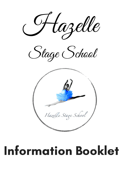

Stage School



# Information Booklet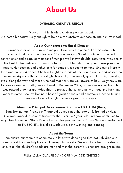# About Us

## DYNAMIC. CREATIVE. UNIQUE

3 words that highlight everything we are about.

An incredible team: lucky enough to be able to transform our passion into our livelihood.

## About Our Namesake: Hazel Cleaver

Grandmother of the current principal, Hazel was the principal of this extremely successful dance school for over 40 years. As Miss Great Britain, a reknowned contortionist and a regular member of multiple well known double acts, Hazel was one of the best in the business. Not only for her work but for what she gave to everyone she taught. Her passion and enthusiasm for dance was second to none. She quite literally lived and breathed dance. She has taught hundreds of children to dance and passed on her knowledge over the years. Of which we all are extremely grateful, she has created stars along the way and those who had met her were well aware of how lucky they were to have known her. Sadly, we lost Hazel in December 2009, but as she wished the school was passed onto her granddaughter to provide the same quality of teaching for many

years to come. She left behind a host of great dancers and enormous shoes to fill and we spend everyday trying to be as great as she was.

## About the Principal: Miss Lauren Stanton A.I.D.T.A. BA (Hons)

Born Birmingham, Trained in Theatrical dance since the age of 3. Trained by Hazel Cleaver, danced in competitions over the UK since 3 years old and now continues to organiser the annual Stage Dance Festival for West Midlands Dance Schools. Performed on TV, BBC, ITV, Travelled worldwide, both working and dancing.

#### About the Team:

We ensure our team are completely in love with dancing so that both children and parents feel they are fully involved in everything we do. We work together as partners to ensure all the children 's needs are met and that the parent' s wishes are brought to life.

FULLY I.D.T.A QUALIFIED AND CRB (now DBS) CHECKED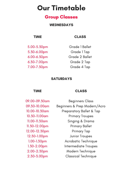# Our Timetable

## Group Classes

## WEDNESDAYS

## TIME

5.00-5.30pm 5.30-6.00pm 6.00-6.30pm 6.30-7.00pm 7.00-7.30pm

## CLASS

Grade 1 Ballet Grade 1 Tap Grade 2 Ballet Grade 2 Tap Grade 4 Tap

## **SATURDAYS**

TIME

09.00-09.30am 09.30-10.00am 10.00-10.30am 10.30-11.00am 11.00-11.30am 11.30-12.00pm 12.00-12.30pm 12.30-1.00pm 1.00-1.30pm 1.30-2.00pm 2.00-2.30pm 2.30-3.00pm

CLASS

Beginners Class Beginners & Prep Modern/Acro Preparatory Ballet & Tap Primary Troupes Singing & Drama Primary Ballet Primary Tap Junior Troupes Acrobatic Technique Intermediate Troupes Modern Technique Classical Technique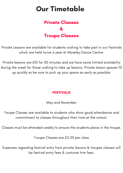## Private Classes & Troupe Classes

# Our Timetable

Private Lessons are available for students wishing to take part in our Festivals which are held twice a year at Moseley Dance Centre.

Private lessons are £10 for 30 minutes and we have some limited availability during the week for those wishing to take up lessons. Private lesson spaces fill up quickly so be sure to pick up your space as early as possible.



May and November

Troupe Classes are available to students who show good attendance and commitment to classes throughout their time at the school.

Classes must be attended weekly to ensure the students place in the troupe.

Troupe Classes are £2.50 per class

Expenses regarding festival entry from private lessons & troupes classes will be festival entry fees & costume hire fees.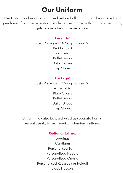# Our Uniform

Our Uniform colours are black and red and all uniform can be ordered and purchased from the reception. Students must come with long hair tied back, girls hair in a bun, no jewellery on.

## For girls:

Basic Package (£42 - up to size 3a) Red Leotard Red Skirt Ballet Socks Ballet Shoes Tap Shoes

## For boys:

Basic Package (£45 - up to size 3a) White Tshirt Black Shorts Ballet Socks Ballet Shoes Tap Shoes

Uniform may also be purchased as separate iterms. Arrival usually takes 1 week on standard uniform.

## Optional Extras:

Leggings Cardigan Personalised Tshirt Personalised Hoodie Personalised Onesie Personalised Rucksack or Holdall Black Trousers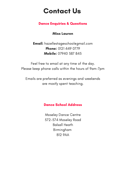# Contact Us

## Dance Enquiries & Questions

## Miss Lauren

Email: hazellestageschool@gmail.com Phone: 0121 449 0779 Mobile: 07940 587 845

Feel free to email at any time of the day. Please keep phone calls within the hours of 9am-7pm

Emails are preferred as evenings and weekends are mostly spent teaching.

## Dance School Address

Moseley Dance Centre 572-574 Moseley Road Balsall Heath Birmingham B12 9AA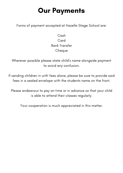Cash Card Bank Transfer **Cheque** 

# **Our Payments**

Forms of payment accepted at Hazelle Stage School are:

Wherever possible please state child' s name alongside payment to avoid any confusion.

If sending children in with fees alone, please be sure to provide said fees in a sealed envelope with the students name on the front.

Please endeavour to pay on time or in advance so that your child

is able to attend their classes regularly.

Your cooperation is much appreciated in this matter.